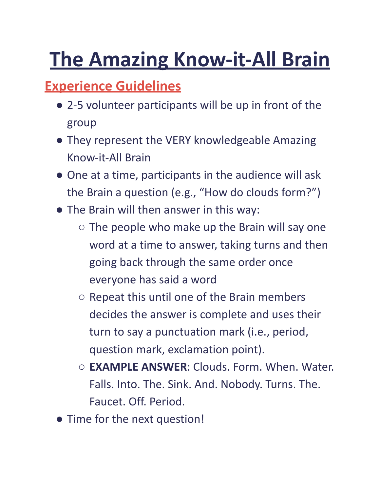# **The Amazing Know-it-All Brain**

#### **Experience Guidelines**

- 2-5 volunteer participants will be up in front of the group
- They represent the VERY knowledgeable Amazing Know-it-All Brain
- One at a time, participants in the audience will ask the Brain a question (e.g., "How do clouds form?")
- The Brain will then answer in this way:
	- $\circ$  The people who make up the Brain will say one word at a time to answer, taking turns and then going back through the same order once everyone has said a word
	- Repeat this until one of the Brain members decides the answer is complete and uses their turn to say a punctuation mark (i.e., period, question mark, exclamation point).
	- **EXAMPLE ANSWER**: Clouds. Form. When. Water. Falls. Into. The. Sink. And. Nobody. Turns. The. Faucet. Off. Period.
- Time for the next question!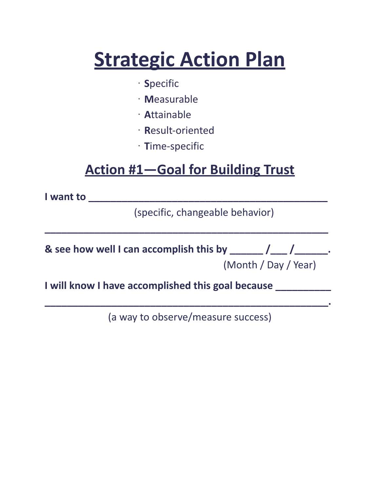## **Strategic Action Plan**

- · **S**pecific
- · **M**easurable
- · **A**ttainable
- · **R**esult-oriented
- · **T**ime-specific

#### **Action #1—Goal for Building Trust**

**I want to \_\_\_\_\_\_\_\_\_\_\_\_\_\_\_\_\_\_\_\_\_\_\_\_\_\_\_\_\_\_\_\_\_\_\_\_\_\_\_\_\_\_\_**

(specific, changeable behavior)

| & see how well I can accomplish this by $\frac{1}{\sqrt{1-\frac{1}{2}}}\int_{-\infty}^{\infty}$ . |                      |  |
|---------------------------------------------------------------------------------------------------|----------------------|--|
|                                                                                                   | (Month / Day / Year) |  |

**\_\_\_\_\_\_\_\_\_\_\_\_\_\_\_\_\_\_\_\_\_\_\_\_\_\_\_\_\_\_\_\_\_\_\_\_\_\_\_\_\_\_\_\_\_\_\_\_\_\_\_**

**I will know I have accomplished this goal because \_\_\_\_\_\_\_\_\_\_**

(a way to observe/measure success)

**\_\_\_\_\_\_\_\_\_\_\_\_\_\_\_\_\_\_\_\_\_\_\_\_\_\_\_\_\_\_\_\_\_\_\_\_\_\_\_\_\_\_\_\_\_\_\_\_\_\_\_.**